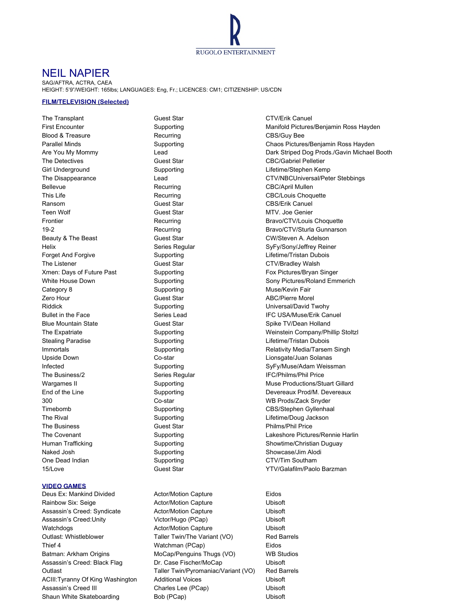

## NEIL NAPIER

SAG/AFTRA, ACTRA, CAEA HEIGHT: 5'9"/WEIGHT: 165lbs; LANGUAGES: Eng, Fr.; LICENCES: CM1; CITIZENSHIP: US/CDN

## **FILM/TELEVISION (Selected)**

The Transplant Guest Star Guest Star CTV/Erik Canuel Blood & Treasure **Recurring CBS/Guy Bee** Recurring CBS/Guy Bee The Detectives **Guest Star** Guest Star CBC/Gabriel Pelletier Girl Underground **Supporting** Supporting Lifetime/Stephen Kemp Bellevue **Recurring CBC/April Mullen** Recurring CBC/April Mullen This Life **CBC/Louis Choquette** Recurring **CBC/Louis Choquette** Ransom CBS/Erik Canuel Guest Star CBS/Erik Canuel Teen Wolf **Guest Star MTV.** Joe Genier Beauty & The Beast **Guest Star** Guest Star CW/Steven A. Adelson Helix **Series Regular** Series Regular SyFy/Sony/Jeffrey Reiner Forget And Forgive **Supporting** Supporting Lifetime/Tristan Dubois The Listener **CTV/Bradley Walsh** Guest Star CTV/Bradley Walsh Xmen: Days of Future Past **Supporting Fox Pictures/Bryan Singer** Fox Pictures/Bryan Singer Category 8 **Supporting Muse/Kevin Fair** Muse/Kevin Fair Zero Hour **Cuest Star ABC/Pierre Morel** ABC/Pierre Morel Riddick Supporting Universal/David Twohy Blue Mountain State **Guest Star** Guest Star Spike TV/Dean Holland Stealing Paradise **Supporting Community Stealing Paradise** Supporting Lifetime/Tristan Dubois Upside Down Co-star Lionsgate/Juan Solanas The Business/2 Series Regular IFC/Philms/Phil Price 300 Co-star WB Prods/Zack Snyder Timebomb Supporting CBS/Stephen Gyllenhaal The Rival **Supporting** Communication Communication Communication Communication Communication Communication Communication Communication Communication Communication Communication Communication Communication Communication Com The Business **Example 3 Constant Constant Constant Constant Constant Constant Philms/Phil Price** Naked Josh Supporting Supporting Showcase/Jim Alodi One Dead Indian Supporting CTV/Tim Southam

## **VIDEO GAMES**

Deus Ex: Mankind Divided Actor/Motion Capture Eidos

Rainbow Six: Seige **Actor/Motion Capture Actor/Motion Capture Actor** Assassin's Creed: Syndicate **Actor/Motion Capture Actor** Ubisoft Assassin's Creed:Unity Victor/Hugo (PCap) Ubisoft Watchdogs **Actor/Motion Capture** Ubisoft Ubisoft Outlast: Whistleblower Taller Twin/The Variant (VO) Red Barrels Thief 4 **Watchman (PCap)** Eidos Batman: Arkham Origins MoCap/Penguins Thugs (VO) WB Studios Assassin's Creed: Black Flag Dr. Case Fischer/MoCap Ubisoft Outlast Taller Twin/Pyromaniac/Variant (VO) Red Barrels ACIII:Tyranny Of King Washington Additional Voices Cubisoft Assassin's Creed III Charles Lee (PCap) Ubisoft Shaun White Skateboarding Bob (PCap) Bob (PCap)

First Encounter The Supporting Cupy of the Manifold Pictures/Benjamin Ross Hayden Parallel Minds **Supporting** Chaos Pictures/Benjamin Ross Hayden Are You My Mommy **Lead** Lead Dark Striped Dog Prods./Gavin Michael Booth The Disappearance Lead CTV/NBCUniversal/Peter Stebbings Frontier **Recurring Recurring Recurring Recurring Recurring Recurring Recurring Recurring Recurring Recurring Recurring Recurring Recurring Recurring Recurring Recurring Recurring Recurring Recurring Recurring Recurring Re** 19-2 **Recurring Bravo/CTV/Sturla Gunnarson** Bravo/CTV/Sturla Gunnarson White House Down **Supporting Supporting** Sony Pictures/Roland Emmerich Bullet in the Face **Series Lead** Series Lead **IFC USA/Muse/Erik Canuel** The Expatriate The Supporting Supporting Weinstein Company/Phillip Stoltzl Immortals **Supporting** Supporting Relativity Media/Tarsem Singh Infected Supporting SyFy/Muse/Adam Weissman Wargames II Supporting Muse Productions/Stuart Gillard Muse Productions/Stuart Gillard End of the Line Supporting Supporting Devereaux Prod/M. Devereaux The Covenant **Supporting** Cupporting Lakeshore Pictures/Rennie Harlin Human Trafficking Trafficking Supporting Supporting Showtime/Christian Duguay 15/Love **Guest Star Community** Guest Star Communication Control of TV/Galafilm/Paolo Barzman